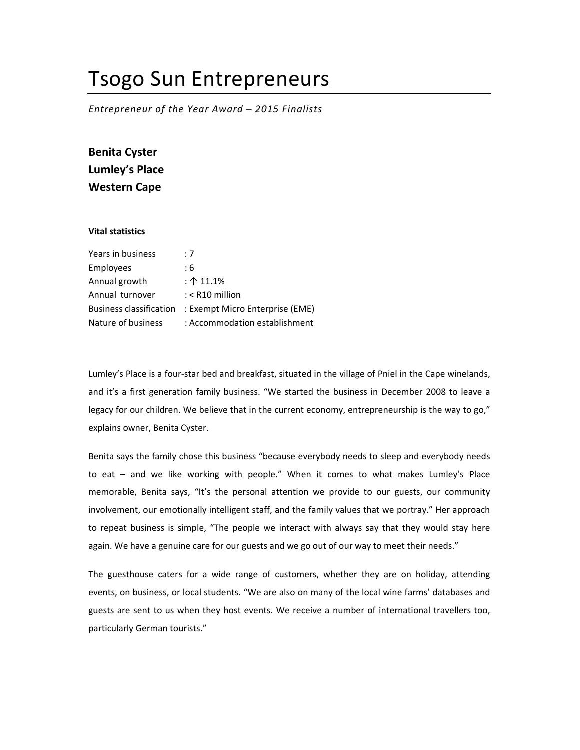## Tsogo Sun Entrepreneurs

Entrepreneur of the Year Award – 2015 Finalists

Benita Cyster Lumley's Place Western Cape

## Vital statistics

| Years in business              | :7                              |
|--------------------------------|---------------------------------|
| Employees                      | : 6                             |
| Annual growth                  | : $\uparrow$ 11.1%              |
| Annual turnover                | $:$ < R10 million               |
| <b>Business classification</b> | : Exempt Micro Enterprise (EME) |
| Nature of business             | : Accommodation establishment   |

Lumley's Place is a four-star bed and breakfast, situated in the village of Pniel in the Cape winelands, and it's a first generation family business. "We started the business in December 2008 to leave a legacy for our children. We believe that in the current economy, entrepreneurship is the way to go," explains owner, Benita Cyster.

Benita says the family chose this business "because everybody needs to sleep and everybody needs to eat – and we like working with people." When it comes to what makes Lumley's Place memorable, Benita says, "It's the personal attention we provide to our guests, our community involvement, our emotionally intelligent staff, and the family values that we portray." Her approach to repeat business is simple, "The people we interact with always say that they would stay here again. We have a genuine care for our guests and we go out of our way to meet their needs."

The guesthouse caters for a wide range of customers, whether they are on holiday, attending events, on business, or local students. "We are also on many of the local wine farms' databases and guests are sent to us when they host events. We receive a number of international travellers too, particularly German tourists."